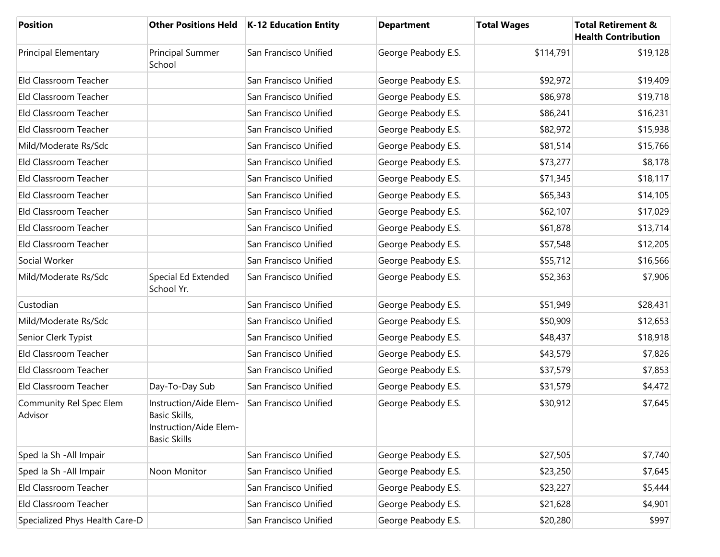| <b>Position</b>                    |                                                                                          | Other Positions Held   K-12 Education Entity | <b>Department</b>   | <b>Total Wages</b> | <b>Total Retirement &amp;</b><br><b>Health Contribution</b> |
|------------------------------------|------------------------------------------------------------------------------------------|----------------------------------------------|---------------------|--------------------|-------------------------------------------------------------|
| <b>Principal Elementary</b>        | Principal Summer<br>School                                                               | San Francisco Unified                        | George Peabody E.S. | \$114,791          | \$19,128                                                    |
| Eld Classroom Teacher              |                                                                                          | San Francisco Unified                        | George Peabody E.S. | \$92,972           | \$19,409                                                    |
| Eld Classroom Teacher              |                                                                                          | San Francisco Unified                        | George Peabody E.S. | \$86,978           | \$19,718                                                    |
| Eld Classroom Teacher              |                                                                                          | San Francisco Unified                        | George Peabody E.S. | \$86,241           | \$16,231                                                    |
| Eld Classroom Teacher              |                                                                                          | San Francisco Unified                        | George Peabody E.S. | \$82,972           | \$15,938                                                    |
| Mild/Moderate Rs/Sdc               |                                                                                          | San Francisco Unified                        | George Peabody E.S. | \$81,514           | \$15,766                                                    |
| Eld Classroom Teacher              |                                                                                          | San Francisco Unified                        | George Peabody E.S. | \$73,277           | \$8,178                                                     |
| Eld Classroom Teacher              |                                                                                          | San Francisco Unified                        | George Peabody E.S. | \$71,345           | \$18,117                                                    |
| Eld Classroom Teacher              |                                                                                          | San Francisco Unified                        | George Peabody E.S. | \$65,343           | \$14,105                                                    |
| Eld Classroom Teacher              |                                                                                          | San Francisco Unified                        | George Peabody E.S. | \$62,107           | \$17,029                                                    |
| Eld Classroom Teacher              |                                                                                          | San Francisco Unified                        | George Peabody E.S. | \$61,878           | \$13,714                                                    |
| Eld Classroom Teacher              |                                                                                          | San Francisco Unified                        | George Peabody E.S. | \$57,548           | \$12,205                                                    |
| Social Worker                      |                                                                                          | San Francisco Unified                        | George Peabody E.S. | \$55,712           | \$16,566                                                    |
| Mild/Moderate Rs/Sdc               | Special Ed Extended<br>School Yr.                                                        | San Francisco Unified                        | George Peabody E.S. | \$52,363           | \$7,906                                                     |
| Custodian                          |                                                                                          | San Francisco Unified                        | George Peabody E.S. | \$51,949           | \$28,431                                                    |
| Mild/Moderate Rs/Sdc               |                                                                                          | San Francisco Unified                        | George Peabody E.S. | \$50,909           | \$12,653                                                    |
| Senior Clerk Typist                |                                                                                          | San Francisco Unified                        | George Peabody E.S. | \$48,437           | \$18,918                                                    |
| Eld Classroom Teacher              |                                                                                          | San Francisco Unified                        | George Peabody E.S. | \$43,579           | \$7,826                                                     |
| Eld Classroom Teacher              |                                                                                          | San Francisco Unified                        | George Peabody E.S. | \$37,579           | \$7,853                                                     |
| Eld Classroom Teacher              | Day-To-Day Sub                                                                           | San Francisco Unified                        | George Peabody E.S. | \$31,579           | \$4,472                                                     |
| Community Rel Spec Elem<br>Advisor | Instruction/Aide Elem-<br>Basic Skills,<br>Instruction/Aide Elem-<br><b>Basic Skills</b> | San Francisco Unified                        | George Peabody E.S. | \$30,912           | \$7,645                                                     |
| Sped Ia Sh - All Impair            |                                                                                          | San Francisco Unified                        | George Peabody E.S. | \$27,505           | \$7,740                                                     |
| Sped Ia Sh - All Impair            | Noon Monitor                                                                             | San Francisco Unified                        | George Peabody E.S. | \$23,250           | \$7,645                                                     |
| Eld Classroom Teacher              |                                                                                          | San Francisco Unified                        | George Peabody E.S. | \$23,227           | \$5,444                                                     |
| Eld Classroom Teacher              |                                                                                          | San Francisco Unified                        | George Peabody E.S. | \$21,628           | \$4,901                                                     |
| Specialized Phys Health Care-D     |                                                                                          | San Francisco Unified                        | George Peabody E.S. | \$20,280           | \$997                                                       |